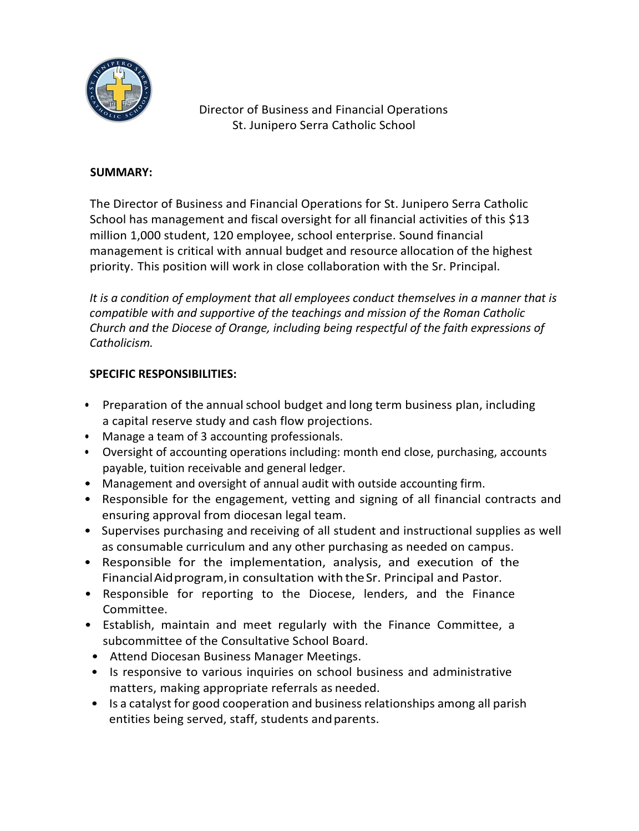

Director of Business and Financial Operations St. Junipero Serra Catholic School

## **SUMMARY:**

The Director of Business and Financial Operations for St. Junipero Serra Catholic School has management and fiscal oversight for all financial activities of this \$13 million 1,000 student, 120 employee, school enterprise. Sound financial management is critical with annual budget and resource allocation of the highest priority. This position will work in close collaboration with the Sr. Principal.

*It is a condition of employment that all employees conduct themselves in a manner that is compatible with and supportive of the teachings and mission of the Roman Catholic Church and the Diocese of Orange, including being respectful of the faith expressions of Catholicism.*

## **SPECIFIC RESPONSIBILITIES:**

- Preparation of the annual school budget and long term business plan, including a capital reserve study and cash flow projections.
- Manage a team of 3 accounting professionals.
- Oversight of accounting operations including: month end close, purchasing, accounts payable, tuition receivable and general ledger.
- Management and oversight of annual audit with outside accounting firm.
- Responsible for the engagement, vetting and signing of all financial contracts and ensuring approval from diocesan legal team.
- Supervises purchasing and receiving of all student and instructional supplies as well as consumable curriculum and any other purchasing as needed on campus.
- Responsible for the implementation, analysis, and execution of the FinancialAidprogram,in consultation with theSr. Principal and Pastor.
- Responsible for reporting to the Diocese, lenders, and the Finance Committee.
- Establish, maintain and meet regularly with the Finance Committee, a subcommittee of the Consultative School Board.
- Attend Diocesan Business Manager Meetings.
- Is responsive to various inquiries on school business and administrative matters, making appropriate referrals as needed.
- Is a catalyst for good cooperation and business relationships among all parish entities being served, staff, students and parents.